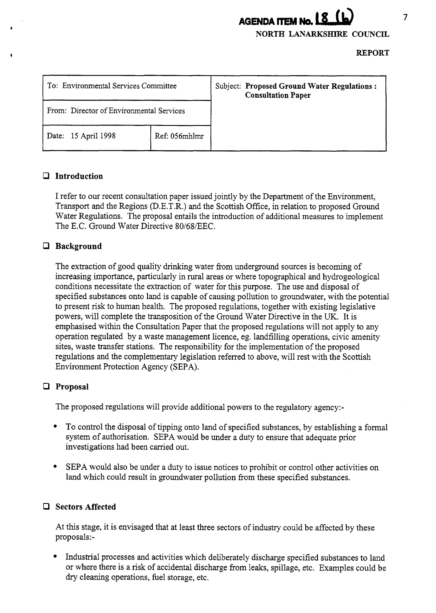# **AGENDA** ITEM **Na**

**NORTH LANARKSHIRE COUNCIL** 

**REPORT** 

| To: Environmental Services Committee     |               | Subject: Proposed Ground Water Regulations :<br><b>Consultation Paper</b> |
|------------------------------------------|---------------|---------------------------------------------------------------------------|
| From: Director of Environmental Services |               |                                                                           |
| Date: 15 April 1998                      | Ref: 056mhlmr |                                                                           |

# *CI* **Introduction**

I refer to our recent consultation paper issued jointly by the Department of the Environment, Transport and the Regions (D.E.T.R.) and the Scottish Office, in relation to proposed Ground Water Regulations. The proposal entails the introduction of additional measures to implement The E.C. Ground Water Directive 80/68/EEC.

# *0* **Background**

The extraction of good quality drinking water from underground sources is becoming of increasing importance, particularly in rural areas or where topographical and hydrogeological conditions necessitate the extraction of water for this purpose. The use and disposal of specified substances onto land is capable of causing pollution to groundwater, with the potential to present risk to human health. The proposed regulations, together with existing legislative powers, will complete the transposition of the Ground Water Directive in the UK. It is emphasised within the Consultation Paper that the proposed regulations will not apply to any operation regulated by a waste management licence, eg. landfilling operations, civic amenity sites, waste transfer stations. The responsibility for the implementation of the proposed regulations and the complementary legislation referred to above, will rest with the Scottish Environment Protection Agency (SEPA).

# *0* **Proposal**

The proposed regulations will provide additional powers to the regulatory agency:-

- + To control the disposal of tipping onto land of specified substances, by establishing a formal system of authorisation. SEPA would be under a duty to ensure that adequate prior investigations had been carried out.
- + SEPA would also be under a duty to issue notices to prohibit or control other activities on land which could result in groundwater pollution from these specified substances.

#### *Cl* **Sectors Affected**

At this stage, it is envisaged that at least three sectors of industry could be affected by these proposals:-

+ Industrial processes and activities which deliberately discharge specified substances to land or where there is a risk of accidental discharge from leaks, spillage, etc. Examples could be *dry* cleaning operations, fuel storage, etc.